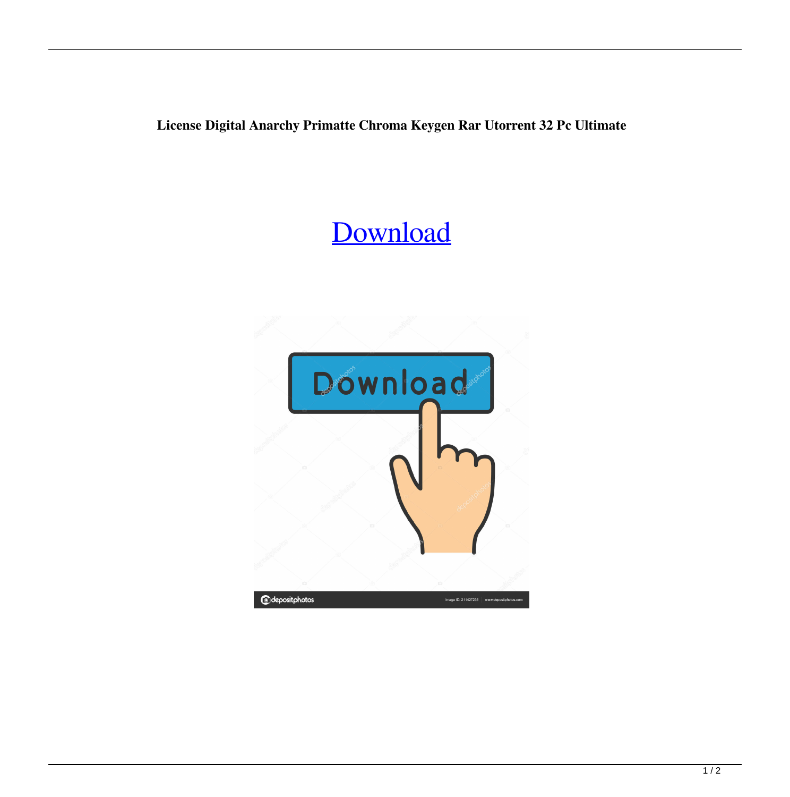**License Digital Anarchy Primatte Chroma Keygen Rar Utorrent 32 Pc Ultimate**

## [Download](http://evacdir.com/inhalations/ZG93bmxvYWR8cXUyTWpKc2JYeDhNVFkxTWpjME1EZzJObng4TWpVM05IeDhLRTBwSUhKbFlXUXRZbXh2WnlCYlJtRnpkQ0JIUlU1ZA/pumps?hash&preys=ZGlnaXRhbCBhbmFyY2h5IHByaW1hdHRlIGNocm9tYSBrZXkgNS4xIHNlcmlhbCBudW1iZXJiZmRjbQZGl)